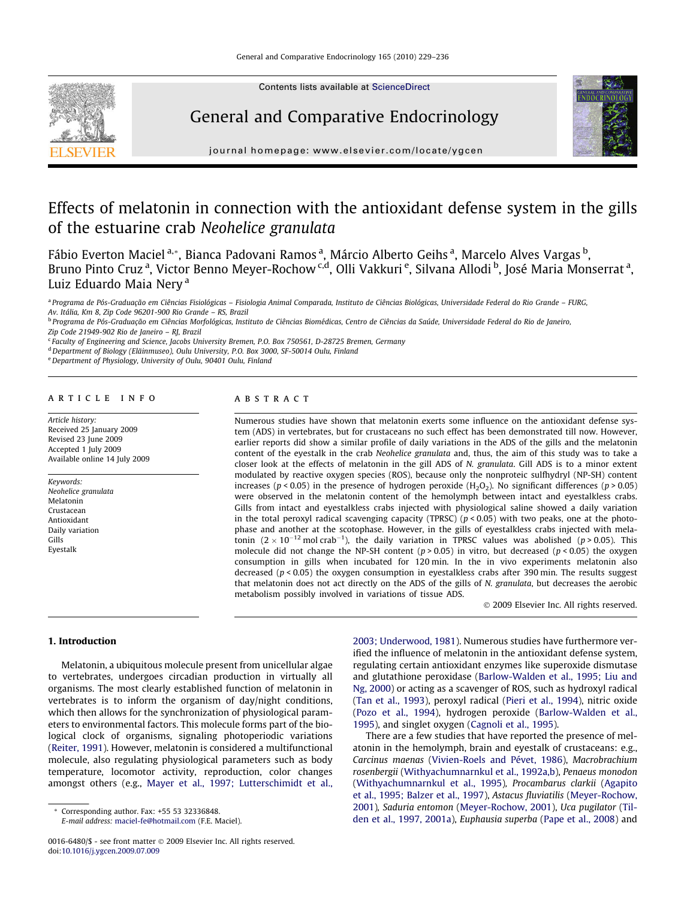

Contents lists available at [ScienceDirect](http://www.sciencedirect.com/science/journal/00166480)

## General and Comparative Endocrinology



journal homepage: [www.elsevier.com/locate/ygcen](http://www.elsevier.com/locate/ygcen)

# Effects of melatonin in connection with the antioxidant defense system in the gills of the estuarine crab Neohelice granulata

Fábio Everton Maciel <sup>a,</sup>\*, Bianca Padovani Ramos <sup>a</sup>, Márcio Alberto Geihs <sup>a</sup>, Marcelo Alves Vargas <sup>b</sup>, Bruno Pinto Cruz <sup>a</sup>, Victor Benno Meyer-Rochow <sup>c,d</sup>, Olli Vakkuri <sup>e</sup>, Silvana Allodi <sup>b</sup>, José Maria Monserrat <sup>a</sup>, Luiz Eduardo Maia Nerv<sup>a</sup>

<sup>a</sup> Programa de Pós-Graduação em Ciências Fisiológicas – Fisiologia Animal Comparada, Instituto de Ciências Biológicas, Universidade Federal do Rio Grande – FURG, Av. Itália, Km 8, Zip Code 96201-900 Rio Grande – RS, Brazil

<sup>b</sup> Programa de Pós-Graduação em Ciências Morfológicas, Instituto de Ciências Biomédicas, Centro de Ciências da Saúde, Universidade Federal do Rio de Janeiro, Zip Code 21949-902 Rio de Janeiro – RJ, Brazil

<sup>c</sup> Faculty of Engineering and Science, Jacobs University Bremen, P.O. Box 750561, D-28725 Bremen, Germany

<sup>d</sup> Department of Biology (Eläinmuseo), Oulu University, P.O. Box 3000, SF-50014 Oulu, Finland

e Department of Physiology, University of Oulu, 90401 Oulu, Finland

#### article info

Article history: Received 25 January 2009 Revised 23 June 2009 Accepted 1 July 2009 Available online 14 July 2009

Keywords: Neohelice granulata Melatonin Crustacean Antioxidant Daily variation Gills Eyestalk

#### **ABSTRACT**

Numerous studies have shown that melatonin exerts some influence on the antioxidant defense system (ADS) in vertebrates, but for crustaceans no such effect has been demonstrated till now. However, earlier reports did show a similar profile of daily variations in the ADS of the gills and the melatonin content of the eyestalk in the crab Neohelice granulata and, thus, the aim of this study was to take a closer look at the effects of melatonin in the gill ADS of N. granulata. Gill ADS is to a minor extent modulated by reactive oxygen species (ROS), because only the nonproteic sulfhydryl (NP-SH) content increases ( $p < 0.05$ ) in the presence of hydrogen peroxide ( $H_2O_2$ ). No significant differences ( $p > 0.05$ ) were observed in the melatonin content of the hemolymph between intact and eyestalkless crabs. Gills from intact and eyestalkless crabs injected with physiological saline showed a daily variation in the total peroxyl radical scavenging capacity (TPRSC) ( $p < 0.05$ ) with two peaks, one at the photophase and another at the scotophase. However, in the gills of eyestalkless crabs injected with melatonin  $(2 \times 10^{-12} \text{ mol cm}^{-1})$ , the daily variation in TPRSC values was abolished (p > 0.05). This molecule did not change the NP-SH content ( $p > 0.05$ ) in vitro, but decreased ( $p < 0.05$ ) the oxygen consumption in gills when incubated for 120 min. In the in vivo experiments melatonin also decreased ( $p < 0.05$ ) the oxygen consumption in eyestalkless crabs after 390 min. The results suggest that melatonin does not act directly on the ADS of the gills of N. granulata, but decreases the aerobic metabolism possibly involved in variations of tissue ADS.

- 2009 Elsevier Inc. All rights reserved.

## 1. Introduction

Melatonin, a ubiquitous molecule present from unicellular algae to vertebrates, undergoes circadian production in virtually all organisms. The most clearly established function of melatonin in vertebrates is to inform the organism of day/night conditions, which then allows for the synchronization of physiological parameters to environmental factors. This molecule forms part of the biological clock of organisms, signaling photoperiodic variations ([Reiter, 1991](#page-7-0)). However, melatonin is considered a multifunctional molecule, also regulating physiological parameters such as body temperature, locomotor activity, reproduction, color changes amongst others (e.g., [Mayer et al., 1997; Lutterschimidt et al.,](#page-7-0)

Corresponding author. Fax: +55 53 32336848.

E-mail address: [maciel-fe@hotmail.com](mailto:maciel-fe@hotmail.com) (F.E. Maciel).

[2003; Underwood, 1981](#page-7-0)). Numerous studies have furthermore verified the influence of melatonin in the antioxidant defense system, regulating certain antioxidant enzymes like superoxide dismutase and glutathione peroxidase [\(Barlow-Walden et al., 1995; Liu and](#page-6-0) [Ng, 2000\)](#page-6-0) or acting as a scavenger of ROS, such as hydroxyl radical ([Tan et al., 1993](#page-7-0)), peroxyl radical ([Pieri et al., 1994](#page-7-0)), nitric oxide ([Pozo et al., 1994](#page-7-0)), hydrogen peroxide ([Barlow-Walden et al.,](#page-6-0) [1995\)](#page-6-0), and singlet oxygen ([Cagnoli et al., 1995\)](#page-6-0).

There are a few studies that have reported the presence of melatonin in the hemolymph, brain and eyestalk of crustaceans: e.g., Carcinus maenas [\(Vivien-Roels and Pévet, 1986\)](#page-7-0), Macrobrachium rosenbergii ([Withyachumnarnkul et al., 1992a,b\)](#page-7-0), Penaeus monodon ([Withyachumnarnkul et al., 1995](#page-7-0)), Procambarus clarkii ([Agapito](#page-6-0) [et al., 1995; Balzer et al., 1997](#page-6-0)), Astacus fluviatilis [\(Meyer-Rochow,](#page-7-0) [2001](#page-7-0)), Saduria entomon [\(Meyer-Rochow, 2001](#page-7-0)), Uca pugilator ([Til](#page-7-0)[den et al., 1997, 2001a](#page-7-0)), Euphausia superba ([Pape et al., 2008\)](#page-7-0) and

<sup>0016-6480/\$ -</sup> see front matter © 2009 Elsevier Inc. All rights reserved. doi[:10.1016/j.ygcen.2009.07.009](http://dx.doi.org/10.1016/j.ygcen.2009.07.009)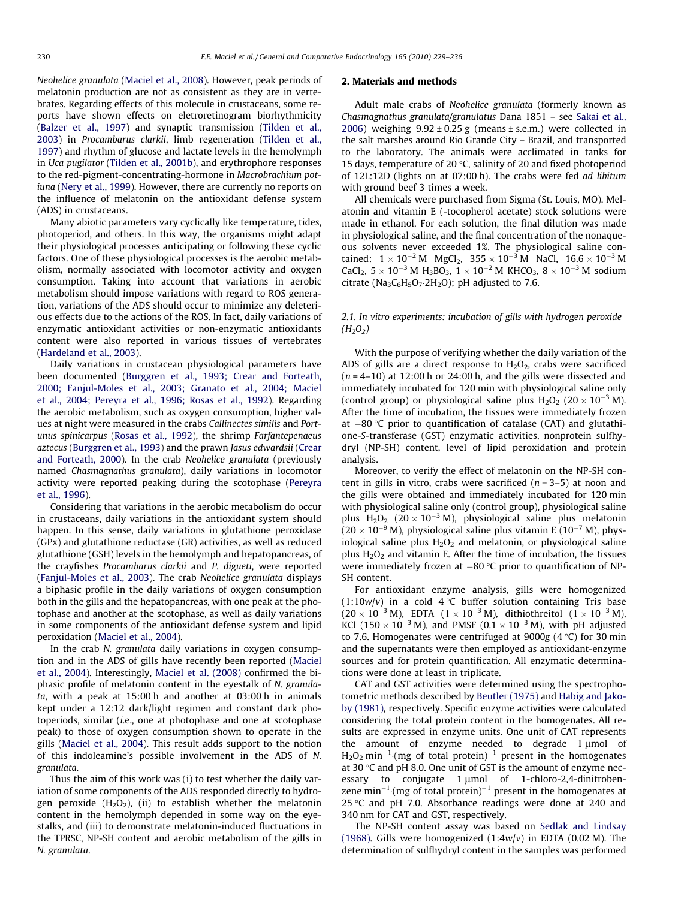Neohelice granulata [\(Maciel et al., 2008\)](#page-7-0). However, peak periods of melatonin production are not as consistent as they are in vertebrates. Regarding effects of this molecule in crustaceans, some reports have shown effects on eletroretinogram biorhythmicity ([Balzer et al., 1997](#page-6-0)) and synaptic transmission [\(Tilden et al.,](#page-7-0) [2003\)](#page-7-0) in Procambarus clarkii, limb regeneration [\(Tilden et al.,](#page-7-0) [1997\)](#page-7-0) and rhythm of glucose and lactate levels in the hemolymph in Uca pugilator [\(Tilden et al., 2001b](#page-7-0)), and erythrophore responses to the red-pigment-concentrating-hormone in Macrobrachium potiuna ([Nery et al., 1999](#page-7-0)). However, there are currently no reports on the influence of melatonin on the antioxidant defense system (ADS) in crustaceans.

Many abiotic parameters vary cyclically like temperature, tides, photoperiod, and others. In this way, the organisms might adapt their physiological processes anticipating or following these cyclic factors. One of these physiological processes is the aerobic metabolism, normally associated with locomotor activity and oxygen consumption. Taking into account that variations in aerobic metabolism should impose variations with regard to ROS generation, variations of the ADS should occur to minimize any deleterious effects due to the actions of the ROS. In fact, daily variations of enzymatic antioxidant activities or non-enzymatic antioxidants content were also reported in various tissues of vertebrates ([Hardeland et al., 2003\)](#page-7-0).

Daily variations in crustacean physiological parameters have been documented [\(Burggren et al., 1993; Crear and Forteath,](#page-6-0) [2000; Fanjul-Moles et al., 2003; Granato et al., 2004; Maciel](#page-6-0) [et al., 2004; Pereyra et al., 1996; Rosas et al., 1992](#page-6-0)). Regarding the aerobic metabolism, such as oxygen consumption, higher values at night were measured in the crabs Callinectes similis and Portunus spinicarpus [\(Rosas et al., 1992\)](#page-7-0), the shrimp Farfantepenaeus aztecus [\(Burggren et al., 1993\)](#page-6-0) and the prawn Jasus edwardsii ([Crear](#page-6-0) [and Forteath, 2000](#page-6-0)). In the crab Neohelice granulata (previously named Chasmagnathus granulata), daily variations in locomotor activity were reported peaking during the scotophase [\(Pereyra](#page-7-0) [et al., 1996\)](#page-7-0).

Considering that variations in the aerobic metabolism do occur in crustaceans, daily variations in the antioxidant system should happen. In this sense, daily variations in glutathione peroxidase (GPx) and glutathione reductase (GR) activities, as well as reduced glutathione (GSH) levels in the hemolymph and hepatopancreas, of the crayfishes Procambarus clarkii and P. digueti, were reported ([Fanjul-Moles et al., 2003\)](#page-7-0). The crab Neohelice granulata displays a biphasic profile in the daily variations of oxygen consumption both in the gills and the hepatopancreas, with one peak at the photophase and another at the scotophase, as well as daily variations in some components of the antioxidant defense system and lipid peroxidation ([Maciel et al., 2004](#page-7-0)).

In the crab N. granulata daily variations in oxygen consumption and in the ADS of gills have recently been reported ([Maciel](#page-7-0) [et al., 2004\)](#page-7-0). Interestingly, [Maciel et al. \(2008\)](#page-7-0) confirmed the biphasic profile of melatonin content in the eyestalk of N. granulata, with a peak at 15:00 h and another at 03:00 h in animals kept under a 12:12 dark/light regimen and constant dark photoperiods, similar (i.e., one at photophase and one at scotophase peak) to those of oxygen consumption shown to operate in the gills ([Maciel et al., 2004](#page-7-0)). This result adds support to the notion of this indoleamine's possible involvement in the ADS of N. granulata.

Thus the aim of this work was (i) to test whether the daily variation of some components of the ADS responded directly to hydrogen peroxide  $(H_2O_2)$ , (ii) to establish whether the melatonin content in the hemolymph depended in some way on the eyestalks, and (iii) to demonstrate melatonin-induced fluctuations in the TPRSC, NP-SH content and aerobic metabolism of the gills in N. granulata.

## 2. Materials and methods

Adult male crabs of Neohelice granulata (formerly known as Chasmagnathus granulata/granulatus Dana 1851 – see [Sakai et al.,](#page-7-0) [2006\)](#page-7-0) weighing  $9.92 \pm 0.25$  g (means  $\pm$  s.e.m.) were collected in the salt marshes around Rio Grande City – Brazil, and transported to the laboratory. The animals were acclimated in tanks for 15 days, temperature of 20  $\degree$ C, salinity of 20 and fixed photoperiod of 12L:12D (lights on at 07:00 h). The crabs were fed ad libitum with ground beef 3 times a week.

All chemicals were purchased from Sigma (St. Louis, MO). Melatonin and vitamin E (-tocopherol acetate) stock solutions were made in ethanol. For each solution, the final dilution was made in physiological saline, and the final concentration of the nonaqueous solvents never exceeded 1%. The physiological saline contained:  $1 \times 10^{-2}$  M MgCl<sub>2</sub>,  $355 \times 10^{-3}$  M NaCl,  $16.6 \times 10^{-3}$  M  $CaCl<sub>2</sub>$ ,  $5 \times 10^{-3}$  M  $H<sub>3</sub>BO<sub>3</sub>$ ,  $1 \times 10^{-2}$  M KHCO<sub>3</sub>,  $8 \times 10^{-3}$  M sodium citrate ( $Na<sub>3</sub>C<sub>6</sub>H<sub>5</sub>O<sub>7</sub>·2H<sub>2</sub>O$ ); pH adjusted to 7.6.

## 2.1. In vitro experiments: incubation of gills with hydrogen peroxide  $(H_2O_2)$

With the purpose of verifying whether the daily variation of the ADS of gills are a direct response to  $H_2O_2$ , crabs were sacrificed  $(n = 4-10)$  at 12:00 h or 24:00 h, and the gills were dissected and immediately incubated for 120 min with physiological saline only (control group) or physiological saline plus  $H_2O_2$  (20  $\times$  10<sup>-3</sup> M). After the time of incubation, the tissues were immediately frozen at  $-80$  °C prior to quantification of catalase (CAT) and glutathione-S-transferase (GST) enzymatic activities, nonprotein sulfhydryl (NP-SH) content, level of lipid peroxidation and protein analysis.

Moreover, to verify the effect of melatonin on the NP-SH content in gills in vitro, crabs were sacrificed  $(n = 3-5)$  at noon and the gills were obtained and immediately incubated for 120 min with physiological saline only (control group), physiological saline plus  $H_2O_2$  (20 × 10<sup>-3</sup> M), physiological saline plus melatonin  $(20 \times 10^{-9}$  M), physiological saline plus vitamin E  $(10^{-7}$  M), physiological saline plus  $H_2O_2$  and melatonin, or physiological saline plus  $H_2O_2$  and vitamin E. After the time of incubation, the tissues were immediately frozen at  $-80$  °C prior to quantification of NP-SH content.

For antioxidant enzyme analysis, gills were homogenized  $(1:10w/v)$  in a cold 4 °C buffer solution containing Tris base  $(20 \times 10^{-3} \text{ M})$ , EDTA  $(1 \times 10^{-3} \text{ M})$ , dithiothreitol  $(1 \times 10^{-3} \text{ M})$ , KCl (150  $\times$  10<sup>-3</sup> M), and PMSF (0.1  $\times$  10<sup>-3</sup> M), with pH adjusted to 7.6. Homogenates were centrifuged at  $9000g$  (4 °C) for 30 min and the supernatants were then employed as antioxidant-enzyme sources and for protein quantification. All enzymatic determinations were done at least in triplicate.

CAT and GST activities were determined using the spectrophotometric methods described by [Beutler \(1975\)](#page-6-0) and [Habig and Jako](#page-7-0)[by \(1981\),](#page-7-0) respectively. Specific enzyme activities were calculated considering the total protein content in the homogenates. All results are expressed in enzyme units. One unit of CAT represents the amount of enzyme needed to degrade  $1 \mu$ mol of  $H_2O_2$  min<sup>-1</sup> (mg of total protein)<sup>-1</sup> present in the homogenates at 30  $\degree$ C and pH 8.0. One unit of GST is the amount of enzyme necessary to conjugate  $1 \mu$ mol of 1-chloro-2,4-dinitrobenzene min<sup>-1</sup> (mg of total protein)<sup>-1</sup> present in the homogenates at 25 °C and pH 7.0. Absorbance readings were done at 240 and 340 nm for CAT and GST, respectively.

The NP-SH content assay was based on [Sedlak and Lindsay](#page-7-0) [\(1968\).](#page-7-0) Gills were homogenized  $(1:4w/v)$  in EDTA (0.02 M). The determination of sulfhydryl content in the samples was performed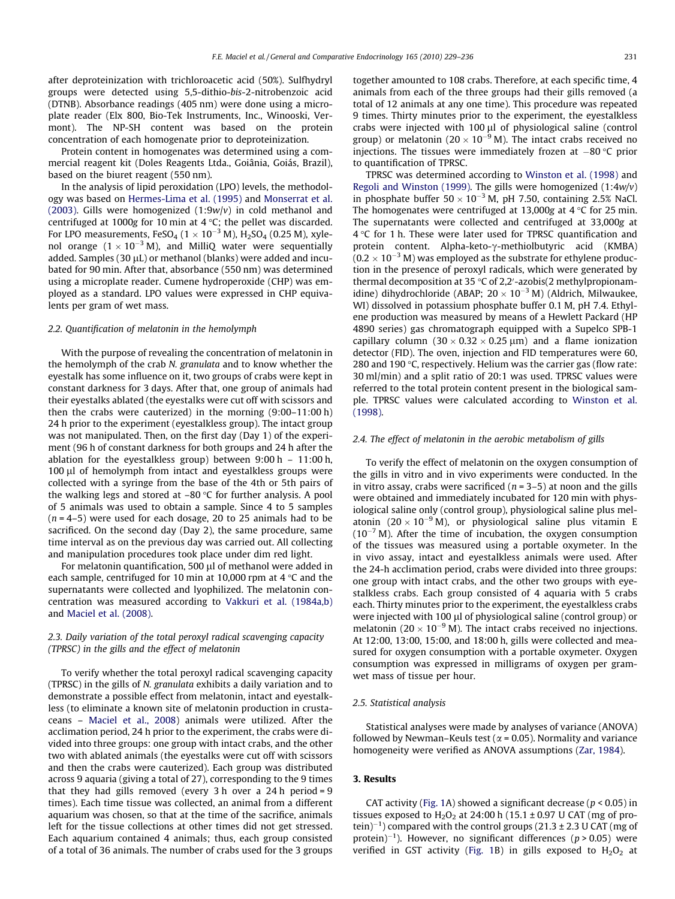after deproteinization with trichloroacetic acid (50%). Sulfhydryl groups were detected using 5,5-dithio-bis-2-nitrobenzoic acid (DTNB). Absorbance readings (405 nm) were done using a microplate reader (Elx 800, Bio-Tek Instruments, Inc., Winooski, Vermont). The NP-SH content was based on the protein concentration of each homogenate prior to deproteinization.

Protein content in homogenates was determined using a commercial reagent kit (Doles Reagents Ltda., Goiânia, Goiás, Brazil), based on the biuret reagent (550 nm).

In the analysis of lipid peroxidation (LPO) levels, the methodology was based on [Hermes-Lima et al. \(1995\)](#page-7-0) and [Monserrat et al.](#page-7-0) [\(2003\)](#page-7-0). Gills were homogenized  $(1:9w/v)$  in cold methanol and centrifuged at 1000g for 10 min at 4  $\degree$ C; the pellet was discarded. For LPO measurements, FeSO<sub>4</sub> ( $1\times10^{-3}$  M), H<sub>2</sub>SO<sub>4</sub> (0.25 M), xylenol orange  $(1\times 10^{-3}$  M), and MilliQ water were sequentially added. Samples (30  $\mu$ L) or methanol (blanks) were added and incubated for 90 min. After that, absorbance (550 nm) was determined using a microplate reader. Cumene hydroperoxide (CHP) was employed as a standard. LPO values were expressed in CHP equivalents per gram of wet mass.

#### 2.2. Quantification of melatonin in the hemolymph

With the purpose of revealing the concentration of melatonin in the hemolymph of the crab N. granulata and to know whether the eyestalk has some influence on it, two groups of crabs were kept in constant darkness for 3 days. After that, one group of animals had their eyestalks ablated (the eyestalks were cut off with scissors and then the crabs were cauterized) in the morning (9:00–11:00 h) 24 h prior to the experiment (eyestalkless group). The intact group was not manipulated. Then, on the first day (Day 1) of the experiment (96 h of constant darkness for both groups and 24 h after the ablation for the eyestalkless group) between 9:00 h – 11:00 h, 100 µl of hemolymph from intact and eyestalkless groups were collected with a syringe from the base of the 4th or 5th pairs of the walking legs and stored at  $-80$  °C for further analysis. A pool of 5 animals was used to obtain a sample. Since 4 to 5 samples  $(n = 4-5)$  were used for each dosage, 20 to 25 animals had to be sacrificed. On the second day (Day 2), the same procedure, same time interval as on the previous day was carried out. All collecting and manipulation procedures took place under dim red light.

For melatonin quantification, 500 µl of methanol were added in each sample, centrifuged for 10 min at 10,000 rpm at  $4^{\circ}$ C and the supernatants were collected and lyophilized. The melatonin concentration was measured according to [Vakkuri et al. \(1984a,b\)](#page-7-0) and [Maciel et al. \(2008\)](#page-7-0).

## 2.3. Daily variation of the total peroxyl radical scavenging capacity (TPRSC) in the gills and the effect of melatonin

To verify whether the total peroxyl radical scavenging capacity (TPRSC) in the gills of N. granulata exhibits a daily variation and to demonstrate a possible effect from melatonin, intact and eyestalkless (to eliminate a known site of melatonin production in crustaceans – [Maciel et al., 2008](#page-7-0)) animals were utilized. After the acclimation period, 24 h prior to the experiment, the crabs were divided into three groups: one group with intact crabs, and the other two with ablated animals (the eyestalks were cut off with scissors and then the crabs were cauterized). Each group was distributed across 9 aquaria (giving a total of 27), corresponding to the 9 times that they had gills removed (every  $3 h$  over a  $24 h$  period =  $9 h$ times). Each time tissue was collected, an animal from a different aquarium was chosen, so that at the time of the sacrifice, animals left for the tissue collections at other times did not get stressed. Each aquarium contained 4 animals; thus, each group consisted of a total of 36 animals. The number of crabs used for the 3 groups together amounted to 108 crabs. Therefore, at each specific time, 4 animals from each of the three groups had their gills removed (a total of 12 animals at any one time). This procedure was repeated 9 times. Thirty minutes prior to the experiment, the eyestalkless crabs were injected with 100 µl of physiological saline (control group) or melatonin (20  $\times$  10<sup>-9</sup> M). The intact crabs received no injections. The tissues were immediately frozen at  $-80$  °C prior to quantification of TPRSC.

TPRSC was determined according to [Winston et al. \(1998\)](#page-7-0) and [Regoli and Winston \(1999\).](#page-7-0) The gills were homogenized  $(1:4w/v)$ in phosphate buffer  $50 \times 10^{-3}$  M, pH 7.50, containing 2.5% NaCl. The homogenates were centrifuged at 13,000g at  $4^{\circ}$ C for 25 min. The supernatants were collected and centrifuged at 33,000g at  $4^{\circ}$ C for 1 h. These were later used for TPRSC quantification and protein content. Alpha-keto- $\gamma$ -methiolbutyric acid (KMBA)  $(0.2 \times 10^{-3}$  M) was employed as the substrate for ethylene production in the presence of peroxyl radicals, which were generated by thermal decomposition at 35  $\degree$ C of 2,2'-azobis(2 methylpropionamidine) dihydrochloride (ABAP;  $20 \times 10^{-3}$  M) (Aldrich, Milwaukee, WI) dissolved in potassium phosphate buffer 0.1 M, pH 7.4. Ethylene production was measured by means of a Hewlett Packard (HP 4890 series) gas chromatograph equipped with a Supelco SPB-1 capillary column  $(30 \times 0.32 \times 0.25 \,\mu m)$  and a flame ionization detector (FID). The oven, injection and FID temperatures were 60, 280 and 190  $\degree$ C, respectively. Helium was the carrier gas (flow rate: 30 ml/min) and a split ratio of 20:1 was used. TPRSC values were referred to the total protein content present in the biological sample. TPRSC values were calculated according to [Winston et al.](#page-7-0) [\(1998\).](#page-7-0)

#### 2.4. The effect of melatonin in the aerobic metabolism of gills

To verify the effect of melatonin on the oxygen consumption of the gills in vitro and in vivo experiments were conducted. In the in vitro assay, crabs were sacrificed ( $n = 3-5$ ) at noon and the gills were obtained and immediately incubated for 120 min with physiological saline only (control group), physiological saline plus melatonin (20  $\times$  10<sup>-9</sup> M), or physiological saline plus vitamin E  $(10^{-7}$  M). After the time of incubation, the oxygen consumption of the tissues was measured using a portable oxymeter. In the in vivo assay, intact and eyestalkless animals were used. After the 24-h acclimation period, crabs were divided into three groups: one group with intact crabs, and the other two groups with eyestalkless crabs. Each group consisted of 4 aquaria with 5 crabs each. Thirty minutes prior to the experiment, the eyestalkless crabs were injected with 100 µl of physiological saline (control group) or melatonin (20  $\times$  10<sup>-9</sup> M). The intact crabs received no injections. At 12:00, 13:00, 15:00, and 18:00 h, gills were collected and measured for oxygen consumption with a portable oxymeter. Oxygen consumption was expressed in milligrams of oxygen per gramwet mass of tissue per hour.

#### 2.5. Statistical analysis

Statistical analyses were made by analyses of variance (ANOVA) followed by Newman–Keuls test ( $\alpha$  = 0.05). Normality and variance homogeneity were verified as ANOVA assumptions [\(Zar, 1984\)](#page-7-0).

#### 3. Results

CAT activity [\(Fig. 1](#page-3-0)A) showed a significant decrease ( $p < 0.05$ ) in tissues exposed to  $H_2O_2$  at 24:00 h (15.1  $\pm$  0.97 U CAT (mg of protein)<sup>-1</sup>) compared with the control groups (21.3  $\pm$  2.3 U CAT (mg of protein)<sup>-1</sup>). However, no significant differences ( $p > 0.05$ ) were verified in GST activity ([Fig. 1B](#page-3-0)) in gills exposed to  $H_2O_2$  at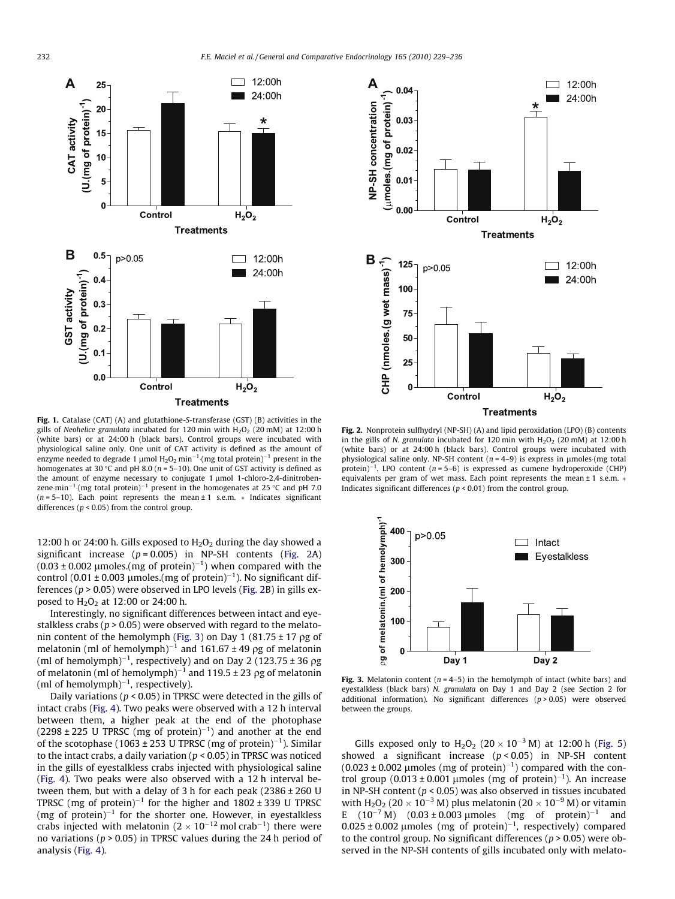<span id="page-3-0"></span>

Fig. 1. Catalase (CAT) (A) and glutathione-S-transferase (GST) (B) activities in the gills of Neohelice granulata incubated for 120 min with  $H_2O_2$  (20 mM) at 12:00 h (white bars) or at 24:00 h (black bars). Control groups were incubated with physiological saline only. One unit of CAT activity is defined as the amount of enzyme needed to degrade 1 µmol  $\rm H_2O_2$  min $^{-1}$  (mg total protein) $^{-1}$  present in the homogenates at 30 °C and pH 8.0 ( $n = 5-10$ ). One unit of GST activity is defined as the amount of enzyme necessary to conjugate 1 µmol 1-chloro-2,4-dinitrobenzene min $^{-1}$  (mg total protein) $^{-1}$  present in the homogenates at 25 °C and pH 7.0  $(n = 5-10)$ . Each point represents the mean  $\pm 1$  s.e.m.  $*$  Indicates significant differences ( $p < 0.05$ ) from the control group.

12:00 h or 24:00 h. Gills exposed to  $H_2O_2$  during the day showed a significant increase  $(p = 0.005)$  in NP-SH contents (Fig. 2A)  $(0.03 \pm 0.002$  µmoles.(mg of protein)<sup>-1</sup>) when compared with the control (0.01  $\pm$  0.003 µmoles.(mg of protein)<sup>-1</sup>). No significant differences ( $p > 0.05$ ) were observed in LPO levels (Fig. 2B) in gills exposed to  $H_2O_2$  at 12:00 or 24:00 h.

Interestingly, no significant differences between intact and eyestalkless crabs ( $p > 0.05$ ) were observed with regard to the melatonin content of the hemolymph (Fig. 3) on Day 1 (81.75  $\pm$  17  $\rho$ g of melatonin (ml of hemolymph)<sup>-1</sup> and 161.67  $\pm$  49 pg of melatonin (ml of hemolymph) $^{-1}$ , respectively) and on Day 2 (123.75  $\pm$  36  $\rho$ g of melatonin (ml of hemolymph)<sup>-1</sup> and 119.5  $\pm$  23  $\rho$ g of melatonin (ml of hemolymph) $^{-1}$ , respectively).

Daily variations ( $p < 0.05$ ) in TPRSC were detected in the gills of intact crabs [\(Fig. 4](#page-4-0)). Two peaks were observed with a 12 h interval between them, a higher peak at the end of the photophase  $(2298 \pm 225 \text{ U}$  TPRSC (mg of protein)<sup>-1</sup>) and another at the end of the scotophase (1063  $\pm$  253 U TPRSC (mg of protein)<sup>-1</sup>). Similar to the intact crabs, a daily variation ( $p < 0.05$ ) in TPRSC was noticed in the gills of eyestalkless crabs injected with physiological saline ([Fig. 4](#page-4-0)). Two peaks were also observed with a 12 h interval between them, but with a delay of 3 h for each peak  $(2386 \pm 260 \text{ U})$ TPRSC (mg of protein)<sup>-1</sup> for the higher and  $1802 \pm 339$  U TPRSC (mg of protein) $^{-1}$  for the shorter one. However, in eyestalkless crabs injected with melatonin (2  $\times$  10<sup>-12</sup> mol crab<sup>-1</sup>) there were no variations ( $p > 0.05$ ) in TPRSC values during the 24 h period of analysis ([Fig. 4](#page-4-0)).



Fig. 2. Nonprotein sulfhydryl (NP-SH) (A) and lipid peroxidation (LPO) (B) contents in the gills of N. granulata incubated for 120 min with  $H_2O_2$  (20 mM) at 12:00 h (white bars) or at 24:00 h (black bars). Control groups were incubated with physiological saline only. NP-SH content  $(n = 4-9)$  is express in umoles (mg total protein)<sup>-1</sup>. LPO content ( $n = 5-6$ ) is expressed as cumene hydroperoxide (CHP) equivalents per gram of wet mass. Each point represents the mean  $\pm$  1 s.e.m.  $*$ Indicates significant differences ( $p < 0.01$ ) from the control group.



Fig. 3. Melatonin content ( $n = 4-5$ ) in the hemolymph of intact (white bars) and eyestalkless (black bars) N. granulata on Day 1 and Day 2 (see Section 2 for additional information). No significant differences  $(p > 0.05)$  were observed between the groups.

Gills exposed only to  $H_2O_2$  (20  $\times$  10<sup>-3</sup> M) at 12:00 h [\(Fig. 5\)](#page-4-0) showed a significant increase  $(p < 0.05)$  in NP-SH content  $(0.023 \pm 0.002 \mu \text{moles (mg of protein})^{-1})$  compared with the control group (0.013 ± 0.001 µmoles (mg of protein)<sup>-1</sup>). An increase in NP-SH content ( $p < 0.05$ ) was also observed in tissues incubated with  $H_2O_2$  (20  $\times$  10<sup>-3</sup> M) plus melatonin (20  $\times$  10<sup>-9</sup> M) or vitamin E  $(10^{-7} M)$   $(0.03 \pm 0.003 \mu m$  of  $m \text{ of }$  protein)<sup>-1</sup> and  $0.025 \pm 0.002$  µmoles (mg of protein)<sup>-1</sup>, respectively) compared to the control group. No significant differences ( $p > 0.05$ ) were observed in the NP-SH contents of gills incubated only with melato-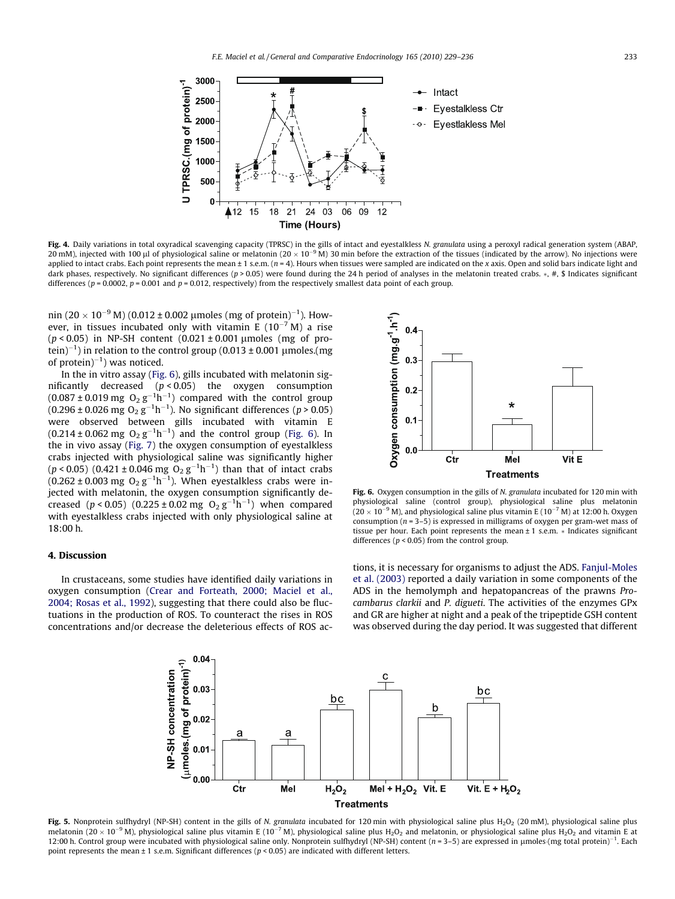<span id="page-4-0"></span>

Fig. 4. Daily variations in total oxyradical scavenging capacity (TPRSC) in the gills of intact and eyestalkless N. granulata using a peroxyl radical generation system (ABAP, 20 mM), injected with 100 µl of physiological saline or melatonin (20 × 10<sup>-9</sup> M) 30 min before the extraction of the tissues (indicated by the arrow). No injections were applied to intact crabs. Each point represents the mean  $\pm 1$  s.e.m. ( $n = 4$ ). Hours when tissues were sampled are indicated on the x axis. Open and solid bars indicate light and dark phases, respectively. No significant differences ( $p > 0.05$ ) were found during the 24 h period of analyses in the melatonin treated crabs.  $*, #$ , \$ Indicates significant differences ( $p = 0.0002$ ,  $p = 0.001$  and  $p = 0.012$ , respectively) from the respectively smallest data point of each group.

nin (20  $\times$  10 $^{-9}$  M) (0.012 ± 0.002  $\mu$ moles (mg of protein) $^{-1}$ ). However, in tissues incubated only with vitamin E ( $10^{-7}$  M) a rise ( $p < 0.05$ ) in NP-SH content (0.021 ± 0.001 µmoles (mg of protein) $^{-1}$ ) in relation to the control group (0.013 ± 0.001  $\mu$ moles.(mg of protein) $^{-1}$ ) was noticed.

In the in vitro assay (Fig. 6), gills incubated with melatonin significantly decreased  $(p < 0.05)$  the oxygen consumption  $(0.087 \pm 0.019 \text{ mg } O_2 \text{ g}^{-1} \text{h}^{-1})$  compared with the control group (0.296 ± 0.026 mg  $O_2$   $g^{-1}h^{-1}$ ). No significant differences (p > 0.05) were observed between gills incubated with vitamin E  $(0.214 \pm 0.062 \text{ mg } O_2 \text{ g}^{-1} \text{h}^{-1})$  and the control group (Fig. 6). In the in vivo assay [\(Fig. 7](#page-5-0)) the oxygen consumption of eyestalkless crabs injected with physiological saline was significantly higher  $(p < 0.05)$  (0.421 ± 0.046 mg  $O_2 g^{-1} h^{-1}$ ) than that of intact crabs (0.262 ± 0.003 mg  $O_2$   $g^{-1}h^{-1}$ ). When eyestalkless crabs were injected with melatonin, the oxygen consumption significantly decreased (p < 0.05) (0.225 ± 0.02 mg  $O_2 g^{-1} h^{-1}$ ) when compared with eyestalkless crabs injected with only physiological saline at 18:00 h.

## 4. Discussion

In crustaceans, some studies have identified daily variations in oxygen consumption [\(Crear and Forteath, 2000; Maciel et al.,](#page-6-0) [2004; Rosas et al., 1992\)](#page-6-0), suggesting that there could also be fluctuations in the production of ROS. To counteract the rises in ROS concentrations and/or decrease the deleterious effects of ROS ac-



Fig. 6. Oxygen consumption in the gills of N. granulata incubated for 120 min with physiological saline (control group), physiological saline plus melatonin  $(20 \times 10^{-9}$  M), and physiological saline plus vitamin E  $(10^{-7}$  M) at 12:00 h. Oxygen consumption ( $n = 3-5$ ) is expressed in milligrams of oxygen per gram-wet mass of tissue per hour. Each point represents the mean  $\pm$  1 s.e.m.  $*$  Indicates significant differences ( $p < 0.05$ ) from the control group.

tions, it is necessary for organisms to adjust the ADS. [Fanjul-Moles](#page-7-0) [et al. \(2003\)](#page-7-0) reported a daily variation in some components of the ADS in the hemolymph and hepatopancreas of the prawns Procambarus clarkii and P. digueti. The activities of the enzymes GPx and GR are higher at night and a peak of the tripeptide GSH content was observed during the day period. It was suggested that different



Fig. 5. Nonprotein sulfhydryl (NP-SH) content in the gills of N. granulata incubated for 120 min with physiological saline plus H<sub>2</sub>O<sub>2</sub> (20 mM), physiological saline plus melatonin (20 × 10<sup>-9</sup> M), physiological saline plus vitamin E (10<sup>-7</sup> M), physiological saline plus H<sub>2</sub>O<sub>2</sub> and melatonin, or physiological saline plus H<sub>2</sub>O<sub>2</sub> and vitamin E at 12:00 h. Control group were incubated with physiological saline only. Nonprotein sulfhydryl (NP-SH) content  $(n = 3-5)$  are expressed in µmoles (mg total protein)<sup>-1</sup>. Each point represents the mean  $\pm$  1 s.e.m. Significant differences ( $p$  < 0.05) are indicated with different letters.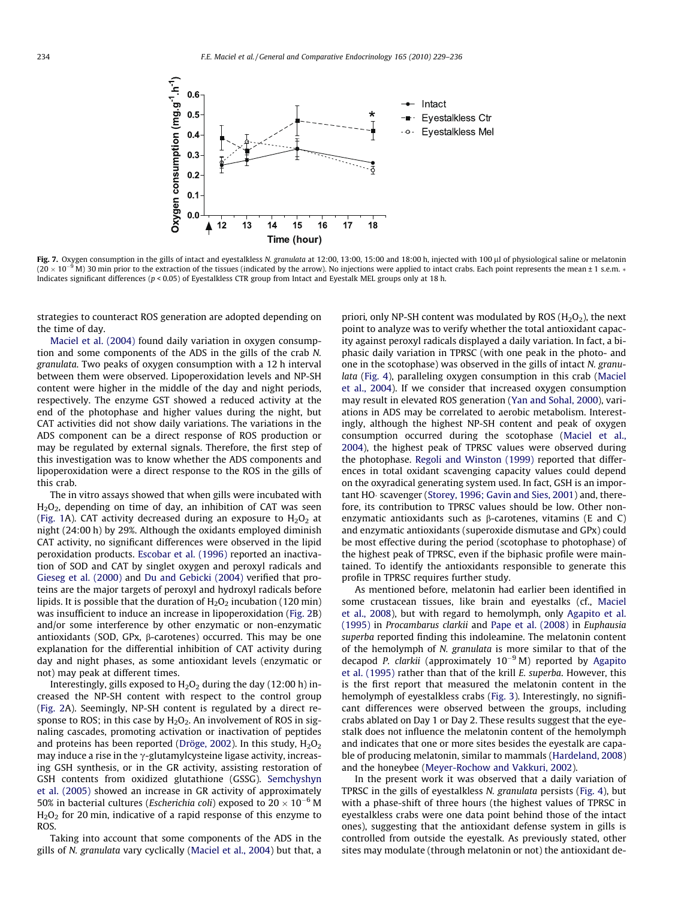<span id="page-5-0"></span>

Fig. 7. Oxygen consumption in the gills of intact and eyestalkless N. granulata at 12:00, 13:00, 15:00 and 18:00 h, injected with 100 µl of physiological saline or melatonin  $(20 \times 10^{-9})$ M) 30 min prior to the extraction of the tissues (indicated by the arrow). No injections were applied to intact crabs. Each point represents the mean ± 1 s.e.m. \* Indicates significant differences (p < 0.05) of Eyestalkless CTR group from Intact and Eyestalk MEL groups only at 18 h.

strategies to counteract ROS generation are adopted depending on the time of day.

[Maciel et al. \(2004\)](#page-7-0) found daily variation in oxygen consumption and some components of the ADS in the gills of the crab N. granulata. Two peaks of oxygen consumption with a 12 h interval between them were observed. Lipoperoxidation levels and NP-SH content were higher in the middle of the day and night periods, respectively. The enzyme GST showed a reduced activity at the end of the photophase and higher values during the night, but CAT activities did not show daily variations. The variations in the ADS component can be a direct response of ROS production or may be regulated by external signals. Therefore, the first step of this investigation was to know whether the ADS components and lipoperoxidation were a direct response to the ROS in the gills of this crab.

The in vitro assays showed that when gills were incubated with  $H_2O_2$ , depending on time of day, an inhibition of CAT was seen ([Fig. 1](#page-3-0)A). CAT activity decreased during an exposure to  $H_2O_2$  at night (24:00 h) by 29%. Although the oxidants employed diminish CAT activity, no significant differences were observed in the lipid peroxidation products. [Escobar et al. \(1996\)](#page-7-0) reported an inactivation of SOD and CAT by singlet oxygen and peroxyl radicals and [Gieseg et al. \(2000\)](#page-7-0) and [Du and Gebicki \(2004\)](#page-7-0) verified that proteins are the major targets of peroxyl and hydroxyl radicals before lipids. It is possible that the duration of  $H_2O_2$  incubation (120 min) was insufficient to induce an increase in lipoperoxidation ([Fig. 2B](#page-3-0)) and/or some interference by other enzymatic or non-enzymatic antioxidants (SOD, GPx,  $\beta$ -carotenes) occurred. This may be one explanation for the differential inhibition of CAT activity during day and night phases, as some antioxidant levels (enzymatic or not) may peak at different times.

Interestingly, gills exposed to  $H_2O_2$  during the day (12:00 h) increased the NP-SH content with respect to the control group ([Fig. 2](#page-3-0)A). Seemingly, NP-SH content is regulated by a direct response to ROS; in this case by  $H_2O_2$ . An involvement of ROS in signaling cascades, promoting activation or inactivation of peptides and proteins has been reported [\(Dröge, 2002](#page-7-0)). In this study,  $H_2O_2$ may induce a rise in the  $\gamma$ -glutamylcysteine ligase activity, increasing GSH synthesis, or in the GR activity, assisting restoration of GSH contents from oxidized glutathione (GSSG). [Semchyshyn](#page-7-0) [et al. \(2005\)](#page-7-0) showed an increase in GR activity of approximately 50% in bacterial cultures (*Escherichia coli*) exposed to 20  $\times$  10<sup>–6</sup> M H<sub>2</sub>O<sub>2</sub> for 20 min, indicative of a rapid response of this enzyme to ROS.

Taking into account that some components of the ADS in the gills of N. granulata vary cyclically ([Maciel et al., 2004\)](#page-7-0) but that, a priori, only NP-SH content was modulated by ROS  $(H<sub>2</sub>O<sub>2</sub>)$ , the next point to analyze was to verify whether the total antioxidant capacity against peroxyl radicals displayed a daily variation. In fact, a biphasic daily variation in TPRSC (with one peak in the photo- and one in the scotophase) was observed in the gills of intact N. granulata ([Fig. 4\)](#page-4-0), paralleling oxygen consumption in this crab ([Maciel](#page-7-0) [et al., 2004\)](#page-7-0). If we consider that increased oxygen consumption may result in elevated ROS generation ([Yan and Sohal, 2000\)](#page-7-0), variations in ADS may be correlated to aerobic metabolism. Interestingly, although the highest NP-SH content and peak of oxygen consumption occurred during the scotophase [\(Maciel et al.,](#page-7-0) [2004\)](#page-7-0), the highest peak of TPRSC values were observed during the photophase. [Regoli and Winston \(1999\)](#page-7-0) reported that differences in total oxidant scavenging capacity values could depend on the oxyradical generating system used. In fact, GSH is an impor-tant HO scavenger ([Storey, 1996; Gavin and Sies, 2001\)](#page-7-0) and, therefore, its contribution to TPRSC values should be low. Other nonenzymatic antioxidants such as  $\beta$ -carotenes, vitamins (E and C) and enzymatic antioxidants (superoxide dismutase and GPx) could be most effective during the period (scotophase to photophase) of the highest peak of TPRSC, even if the biphasic profile were maintained. To identify the antioxidants responsible to generate this profile in TPRSC requires further study.

As mentioned before, melatonin had earlier been identified in some crustacean tissues, like brain and eyestalks (cf., [Maciel](#page-7-0) [et al., 2008](#page-7-0)), but with regard to hemolymph, only [Agapito et al.](#page-6-0) [\(1995\)](#page-6-0) in Procambarus clarkii and [Pape et al. \(2008\)](#page-7-0) in Euphausia superba reported finding this indoleamine. The melatonin content of the hemolymph of N. granulata is more similar to that of the decapod P. clarkii (approximately  $10^{-9}$  M) reported by [Agapito](#page-6-0) [et al. \(1995\)](#page-6-0) rather than that of the krill E. superba. However, this is the first report that measured the melatonin content in the hemolymph of eyestalkless crabs ([Fig. 3\)](#page-3-0). Interestingly, no significant differences were observed between the groups, including crabs ablated on Day 1 or Day 2. These results suggest that the eyestalk does not influence the melatonin content of the hemolymph and indicates that one or more sites besides the eyestalk are capable of producing melatonin, similar to mammals ([Hardeland, 2008\)](#page-7-0) and the honeybee ([Meyer-Rochow and Vakkuri, 2002](#page-7-0)).

In the present work it was observed that a daily variation of TPRSC in the gills of eyestalkless N. granulata persists ([Fig. 4](#page-4-0)), but with a phase-shift of three hours (the highest values of TPRSC in eyestalkless crabs were one data point behind those of the intact ones), suggesting that the antioxidant defense system in gills is controlled from outside the eyestalk. As previously stated, other sites may modulate (through melatonin or not) the antioxidant de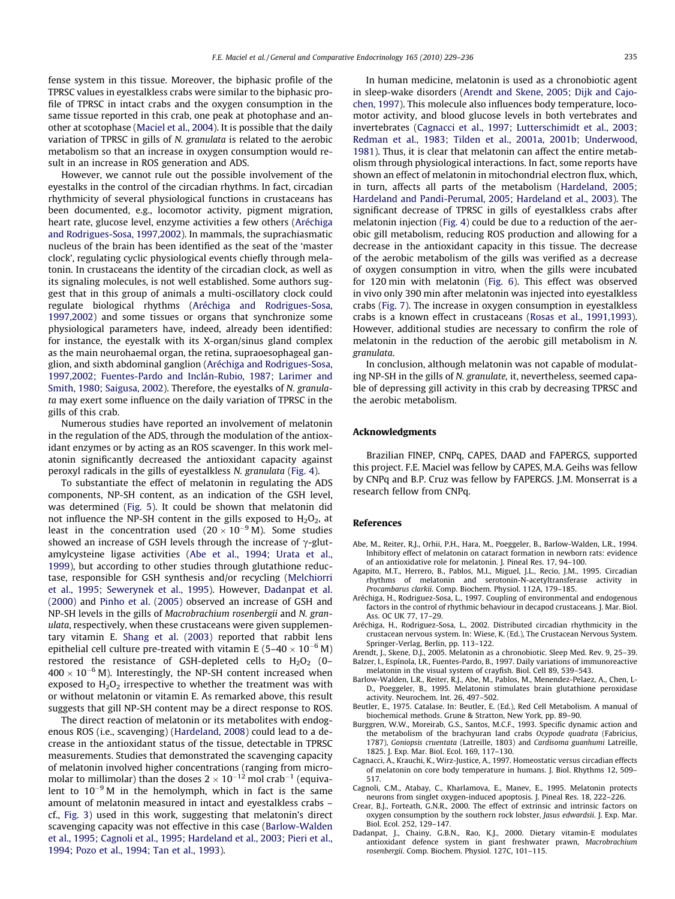<span id="page-6-0"></span>fense system in this tissue. Moreover, the biphasic profile of the TPRSC values in eyestalkless crabs were similar to the biphasic profile of TPRSC in intact crabs and the oxygen consumption in the same tissue reported in this crab, one peak at photophase and another at scotophase ([Maciel et al., 2004](#page-7-0)). It is possible that the daily variation of TPRSC in gills of N. granulata is related to the aerobic metabolism so that an increase in oxygen consumption would result in an increase in ROS generation and ADS.

However, we cannot rule out the possible involvement of the eyestalks in the control of the circadian rhythms. In fact, circadian rhythmicity of several physiological functions in crustaceans has been documented, e.g., locomotor activity, pigment migration, heart rate, glucose level, enzyme activities a few others (Aréchiga and Rodrigues-Sosa, 1997,2002). In mammals, the suprachiasmatic nucleus of the brain has been identified as the seat of the 'master clock', regulating cyclic physiological events chiefly through melatonin. In crustaceans the identity of the circadian clock, as well as its signaling molecules, is not well established. Some authors suggest that in this group of animals a multi-oscillatory clock could regulate biological rhythms (Aréchiga and Rodrigues-Sosa, 1997,2002) and some tissues or organs that synchronize some physiological parameters have, indeed, already been identified: for instance, the eyestalk with its X-organ/sinus gland complex as the main neurohaemal organ, the retina, supraoesophageal ganglion, and sixth abdominal ganglion (Aréchiga and Rodrigues-Sosa, 1997,2002; Fuentes-Pardo and Inclán-Rubio, 1987; Larimer and Smith, 1980; Saigusa, 2002). Therefore, the eyestalks of N. granulata may exert some influence on the daily variation of TPRSC in the gills of this crab.

Numerous studies have reported an involvement of melatonin in the regulation of the ADS, through the modulation of the antioxidant enzymes or by acting as an ROS scavenger. In this work melatonin significantly decreased the antioxidant capacity against peroxyl radicals in the gills of eyestalkless N. granulata [\(Fig. 4\)](#page-4-0).

To substantiate the effect of melatonin in regulating the ADS components, NP-SH content, as an indication of the GSH level, was determined [\(Fig. 5](#page-4-0)). It could be shown that melatonin did not influence the NP-SH content in the gills exposed to  $H_2O_2$ , at least in the concentration used  $(20 \times 10^{-9}$  M). Some studies showed an increase of GSH levels through the increase of  $\gamma$ -glutamylcysteine ligase activities (Abe et al., 1994; Urata et al., 1999), but according to other studies through glutathione reductase, responsible for GSH synthesis and/or recycling [\(Melchiorri](#page-7-0) [et al., 1995; Sewerynek et al., 1995](#page-7-0)). However, Dadanpat et al. (2000) and [Pinho et al. \(2005\)](#page-7-0) observed an increase of GSH and NP-SH levels in the gills of Macrobrachium rosenbergii and N. granulata, respectively, when these crustaceans were given supplementary vitamin E. [Shang et al. \(2003\)](#page-7-0) reported that rabbit lens epithelial cell culture pre-treated with vitamin E (5–40  $\times$  10<sup>–6</sup> M) restored the resistance of GSH-depleted cells to  $H_2O_2$  (0– 400  $\times$  10<sup>-6</sup> M). Interestingly, the NP-SH content increased when exposed to  $H_2O_2$  irrespective to whether the treatment was with or without melatonin or vitamin E. As remarked above, this result suggests that gill NP-SH content may be a direct response to ROS.

The direct reaction of melatonin or its metabolites with endogenous ROS (i.e., scavenging) ([Hardeland, 2008\)](#page-7-0) could lead to a decrease in the antioxidant status of the tissue, detectable in TPRSC measurements. Studies that demonstrated the scavenging capacity of melatonin involved higher concentrations (ranging from micromolar to millimolar) than the doses 2  $\times$  10<sup>–12</sup> mol crab<sup>–1</sup> (equivalent to  $10^{-9}$  M in the hemolymph, which in fact is the same amount of melatonin measured in intact and eyestalkless crabs – cf., [Fig. 3](#page-3-0)) used in this work, suggesting that melatonin's direct scavenging capacity was not effective in this case (Barlow-Walden et al., 1995; Cagnoli et al., 1995; Hardeland et al., 2003; Pieri et al., 1994; Pozo et al., 1994; Tan et al., 1993).

In human medicine, melatonin is used as a chronobiotic agent in sleep-wake disorders (Arendt and Skene, 2005; Dijk and Cajochen, 1997). This molecule also influences body temperature, locomotor activity, and blood glucose levels in both vertebrates and invertebrates (Cagnacci et al., 1997; Lutterschimidt et al., 2003; Redman et al., 1983; Tilden et al., 2001a, 2001b; Underwood, 1981). Thus, it is clear that melatonin can affect the entire metabolism through physiological interactions. In fact, some reports have shown an effect of melatonin in mitochondrial electron flux, which, in turn, affects all parts of the metabolism ([Hardeland, 2005;](#page-7-0) [Hardeland and Pandi-Perumal, 2005; Hardeland et al., 2003\)](#page-7-0). The significant decrease of TPRSC in gills of eyestalkless crabs after melatonin injection [\(Fig. 4](#page-4-0)) could be due to a reduction of the aerobic gill metabolism, reducing ROS production and allowing for a decrease in the antioxidant capacity in this tissue. The decrease of the aerobic metabolism of the gills was verified as a decrease of oxygen consumption in vitro, when the gills were incubated for 120 min with melatonin ([Fig. 6](#page-4-0)). This effect was observed in vivo only 390 min after melatonin was injected into eyestalkless crabs [\(Fig. 7\)](#page-5-0). The increase in oxygen consumption in eyestalkless crabs is a known effect in crustaceans [\(Rosas et al., 1991,1993\)](#page-7-0). However, additional studies are necessary to confirm the role of melatonin in the reduction of the aerobic gill metabolism in N. granulata.

In conclusion, although melatonin was not capable of modulating NP-SH in the gills of N. granulate, it, nevertheless, seemed capable of depressing gill activity in this crab by decreasing TPRSC and the aerobic metabolism.

## Acknowledgments

Brazilian FINEP, CNPq, CAPES, DAAD and FAPERGS, supported this project. F.E. Maciel was fellow by CAPES, M.A. Geihs was fellow by CNPq and B.P. Cruz was fellow by FAPERGS. J.M. Monserrat is a research fellow from CNPq.

#### References

- Abe, M., Reiter, R.J., Orhii, P.H., Hara, M., Poeggeler, B., Barlow-Walden, L.R., 1994. Inhibitory effect of melatonin on cataract formation in newborn rats: evidence of an antioxidative role for melatonin. J. Pineal Res. 17, 94–100.
- Agapito, M.T., Herrero, B., Pablos, M.I., Miguel, J.L., Recio, J.M., 1995. Circadian rhythms of melatonin and serotonin-N-acetyltransferase activity in Procambarus clarkii. Comp. Biochem. Physiol. 112A, 179–185.
- Aréchiga, H., Rodriguez-Sosa, L., 1997. Coupling of environmental and endogenous factors in the control of rhythmic behaviour in decapod crustaceans. J. Mar. Biol. Ass. OC UK 77, 17–29.
- Aréchiga, H., Rodriguez-Sosa, L., 2002. Distributed circadian rhythmicity in the crustacean nervous system. In: Wiese, K. (Ed.), The Crustacean Nervous System. Springer-Verlag, Berlin, pp. 113–122.
- Arendt, J., Skene, D.J., 2005. Melatonin as a chronobiotic. Sleep Med. Rev. 9, 25–39. Balzer, I., Espínola, I.R., Fuentes-Pardo, B., 1997. Daily variations of immunoreactive melatonin in the visual system of crayfish. Biol. Cell 89, 539–543.
- Barlow-Walden, L.R., Reiter, R.J., Abe, M., Pablos, M., Menendez-Pelaez, A., Chen, L-D., Poeggeler, B., 1995. Melatonin stimulates brain glutathione peroxidase activity. Neurochem. Int. 26, 497–502.
- Beutler, E., 1975. Catalase. In: Beutler, E. (Ed.), Red Cell Metabolism. A manual of biochemical methods. Grune & Stratton, New York, pp. 89–90.
- Burggren, W.W., Moreirab, G.S., Santos, M.C.F., 1993. Specific dynamic action and the metabolism of the brachyuran land crabs Ocypode quadrata (Fabricius, 1787), Goniopsis cruentata (Latreille, 1803) and Cardisoma guanhumi Latreille, 1825. J. Exp. Mar. Biol. Ecol. 169, 117–130.
- Cagnacci, A., Krauchi, K., Wirz-Justice, A., 1997. Homeostatic versus circadian effects of melatonin on core body temperature in humans. J. Biol. Rhythms 12, 509– 517.
- Cagnoli, C.M., Atabay, C., Kharlamova, E., Manev, E., 1995. Melatonin protects neurons from singlet oxygen-induced apoptosis. J. Pineal Res. 18, 222–226.
- Crear, B.J., Forteath, G.N.R., 2000. The effect of extrinsic and intrinsic factors on oxygen consumption by the southern rock lobster, Jasus edwardsii. J. Exp. Mar. Biol. Ecol. 252, 129–147.
- Dadanpat, J., Chainy, G.B.N., Rao, K.J., 2000. Dietary vitamin-E modulates antioxidant defence system in giant freshwater prawn, Macrobrachium rosenbergii. Comp. Biochem. Physiol. 127C, 101–115.